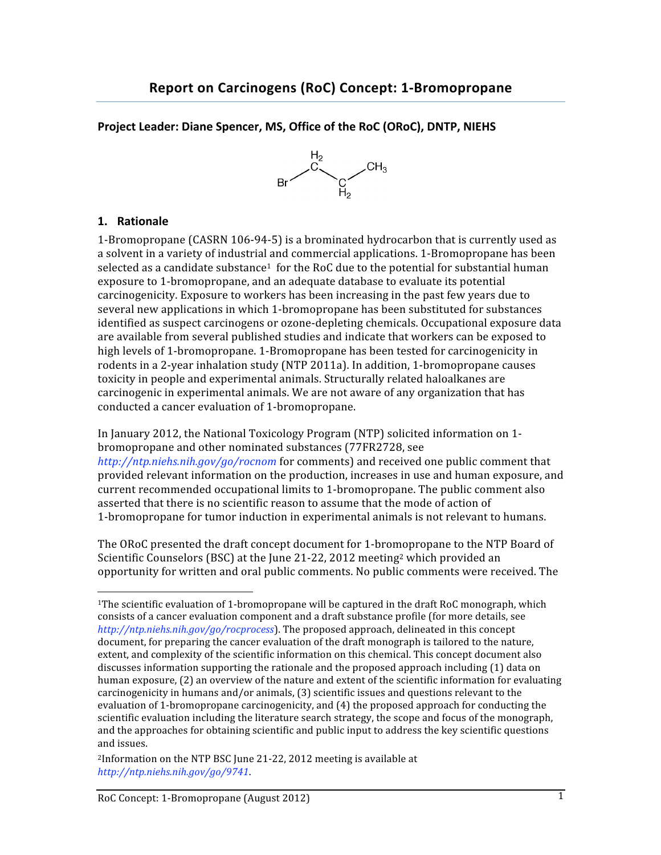**Project Leader: Diane Spencer, MS, Office of the RoC (ORoC), DNTP, NIEHS**



#### **1. Rationale**

 1‐Bromopropane (CASRN 106‐94‐5) is a brominated hydrocarbon that is currently used as a solvent in a variety of industrial and commercial applications. 1‐Bromopropane has been selected as a candidate substance<sup>1</sup> for the RoC due to the potential for substantial human exposure to 1‐bromopropane, and an adequate database to evaluate its potential carcinogenicity. Exposure to workers has been increasing in the past few years due to several new applications in which 1‐bromopropane has been substituted for substances identified as suspect carcinogens or ozone‐depleting chemicals. Occupational exposure data are available from several published studies and indicate that workers can be exposed to high levels of 1‐bromopropane. 1‐Bromopropane has been tested for carcinogenicity in rodents in a 2‐year inhalation study (NTP 2011a). In addition, 1‐bromopropane causes toxicity in people and experimental animals. Structurally related haloalkanes are carcinogenic in experimental animals. We are not aware of any organization that has conducted a cancer evaluation of 1‐bromopropane.

 In January 2012, the National Toxicology Program (NTP) solicited information on 1‐ bromopropane and other nominated substances (77FR2728, see *http://ntp.niehs.nih.gov/go/rocnom* for comments) and received one public comment that provided relevant information on the production, increases in use and human exposure, and current recommended occupational limits to 1‐bromopropane. The public comment also asserted that there is no scientific reason to assume that the mode of action of 1‐bromopropane for tumor induction in experimental animals is not relevant to humans.

 The ORoC presented the draft concept document for 1‐bromopropane to the NTP Board of Scientific Counselors (BSC) at the June 21-22, 2012 meeting<sup>2</sup> which provided an opportunity for written and oral public comments. No public comments were received. The

 1The scientific evaluation of 1‐bromopropane will be captured in the draft RoC monograph, which consists of a cancer evaluation component and a draft substance profile (for more details, see *http://ntp.niehs.nih.gov/go/rocprocess*). The proposed approach, delineated in this concept document, for preparing the cancer evaluation of the draft monograph is tailored to the nature, extent, and complexity of the scientific information on this chemical. This concept document also discusses information supporting the rationale and the proposed approach including (1) data on human exposure, (2) an overview of the nature and extent of the scientific information for evaluating carcinogenicity in humans and/or animals, (3) scientific issues and questions relevant to the evaluation of 1‐bromopropane carcinogenicity, and (4) the proposed approach for conducting the scientific evaluation including the literature search strategy, the scope and focus of the monograph, and the approaches for obtaining scientific and public input to address the key scientific questions and issues.

 2Information on the NTP BSC June 21‐22, 2012 meeting is available at *http://ntp.niehs.nih.gov/go/9741*.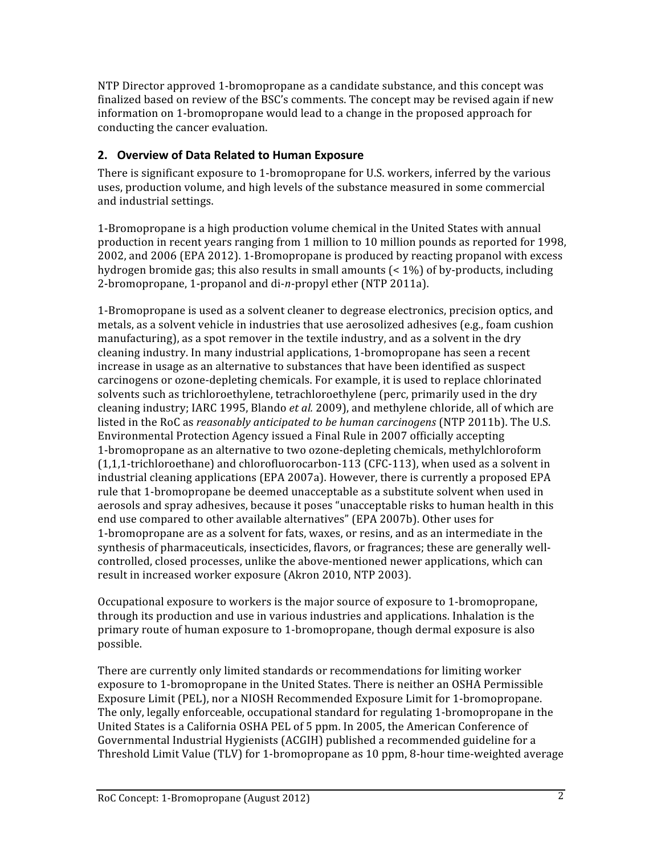NTP Director approved 1‐bromopropane as a candidate substance, and this concept was finalized based on review of the BSC's comments. The concept may be revised again if new information on 1‐bromopropane would lead to a change in the proposed approach for conducting the cancer evaluation.

## **2. Overview of Data Related to Human Exposure**

 There is significant exposure to 1‐bromopropane for U.S. workers, inferred by the various uses, production volume, and high levels of the substance measured in some commercial and industrial settings.

 1‐Bromopropane is a high production volume chemical in the United States with annual production in recent years ranging from 1 million to 10 million pounds as reported for 1998, 2002, and 2006 (EPA 2012). 1‐Bromopropane is produced by reacting propanol with excess hydrogen bromide gas; this also results in small amounts (< 1%) of by‐products, including 2‐bromopropane, 1‐propanol and di‐*n*‐propyl ether (NTP 2011a).

 1‐Bromopropane is used as a solvent cleaner to degrease electronics, precision optics, and metals, as a solvent vehicle in industries that use aerosolized adhesives (e.g., foam cushion manufacturing), as a spot remover in the textile industry, and as a solvent in the dry cleaning industry. In many industrial applications, 1‐bromopropane has seen a recent increase in usage as an alternative to substances that have been identified as suspect carcinogens or ozone‐depleting chemicals. For example, it is used to replace chlorinated solvents such as trichloroethylene, tetrachloroethylene (perc, primarily used in the dry cleaning industry; IARC 1995, Blando *et al.* 2009), and methylene chloride, all of which are  listed in the RoC as *reasonably anticipated to be human carcinogens* (NTP 2011b). The U.S. Environmental Protection Agency issued a Final Rule in 2007 officially accepting 1‐bromopropane as an alternative to two ozone‐depleting chemicals, methylchloroform (1,1,1‐trichloroethane) and chlorofluorocarbon‐113 (CFC‐113), when used as a solvent in industrial cleaning applications (EPA 2007a). However, there is currently a proposed EPA rule that 1‐bromopropane be deemed unacceptable as a substitute solvent when used in aerosols and spray adhesives, because it poses "unacceptable risks to human health in this end use compared to other available alternatives" (EPA 2007b). Other uses for 1‐bromopropane are as a solvent for fats, waxes, or resins, and as an intermediate in the synthesis of pharmaceuticals, insecticides, flavors, or fragrances; these are generally well‐ controlled, closed processes, unlike the above‐mentioned newer applications, which can result in increased worker exposure (Akron 2010, NTP 2003).

 Occupational exposure to workers is the major source of exposure to 1‐bromopropane, through its production and use in various industries and applications. Inhalation is the primary route of human exposure to 1‐bromopropane, though dermal exposure is also possible.

 There are currently only limited standards or recommendations for limiting worker exposure to 1‐bromopropane in the United States. There is neither an OSHA Permissible Exposure Limit (PEL), nor a NIOSH Recommended Exposure Limit for 1‐bromopropane. The only, legally enforceable, occupational standard for regulating 1‐bromopropane in the United States is a California OSHA PEL of 5 ppm. In 2005, the American Conference of Governmental Industrial Hygienists (ACGIH) published a recommended guideline for a Threshold Limit Value (TLV) for 1‐bromopropane as 10 ppm, 8‐hour time‐weighted average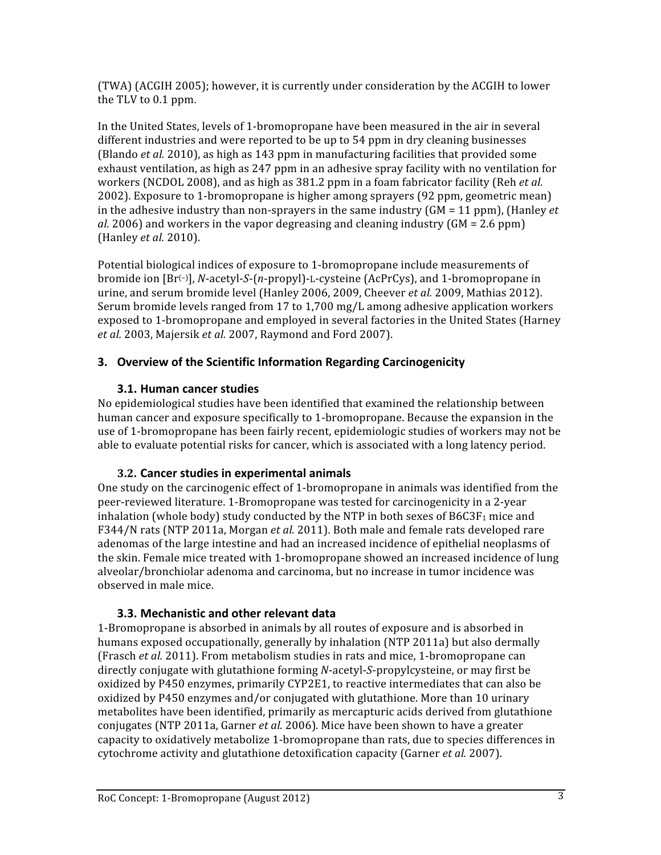(TWA) (ACGIH 2005); however, it is currently under consideration by the ACGIH to lower the TLV to 0.1 ppm.

 In the United States, levels of 1‐bromopropane have been measured in the air in several different industries and were reported to be up to 54 ppm in dry cleaning businesses (Blando *et al.* 2010), as high as 143 ppm in manufacturing facilities that provided some exhaust ventilation, as high as 247 ppm in an adhesive spray facility with no ventilation for workers (NCDOL 2008), and as high as 381.2 ppm in a foam fabricator facility (Reh *et al.* 2002). Exposure to 1‐bromopropane is higher among sprayers (92 ppm, geometric mean) in the adhesive industry than non‐sprayers in the same industry (GM = 11 ppm), (Hanley *et al.* 2006) and workers in the vapor degreasing and cleaning industry (GM = 2.6 ppm) (Hanley *et al.* 2010).

 Potential biological indices of exposure to 1‐bromopropane include measurements of bromide ion [Br(–)], *N*‐acetyl‐*S*‐(*n*‐propyl)‐L‐cysteine (AcPrCys), and 1‐bromopropane in urine, and serum bromide level (Hanley 2006, 2009, Cheever *et al.* 2009, Mathias 2012). Serum bromide levels ranged from 17 to 1,700 mg/L among adhesive application workers exposed to 1‐bromopropane and employed in several factories in the United States (Harney *et al.* 2003, Majersik *et al.* 2007, Raymond and Ford 2007).

## **3. Overview of the Scientific Information Regarding Carcinogenicity**

## **3.1. Human cancer studies**

 No epidemiological studies have been identified that examined the relationship between human cancer and exposure specifically to 1‐bromopropane. Because the expansion in the use of 1‐bromopropane has been fairly recent, epidemiologic studies of workers may not be able to evaluate potential risks for cancer, which is associated with a long latency period.

## **3.2. Cancer studies in experimental animals**

 One study on the carcinogenic effect of 1‐bromopropane in animals was identified from the peer‐reviewed literature. 1‐Bromopropane was tested for carcinogenicity in a 2‐year inhalation (whole body) study conducted by the NTP in both sexes of  $B6C3F<sub>1</sub>$  mice and F344/N rats (NTP 2011a, Morgan *et al.* 2011). Both male and female rats developed rare adenomas of the large intestine and had an increased incidence of epithelial neoplasms of the skin. Female mice treated with 1‐bromopropane showed an increased incidence of lung alveolar/bronchiolar adenoma and carcinoma, but no increase in tumor incidence was observed in male mice.

## **3.3. Mechanistic and other relevant data**

 1‐Bromopropane is absorbed in animals by all routes of exposure and is absorbed in humans exposed occupationally, generally by inhalation (NTP 2011a) but also dermally (Frasch *et al.* 2011). From metabolism studies in rats and mice, 1‐bromopropane can directly conjugate with glutathione forming *N*‐acetyl‐*S*‐propylcysteine, or may first be oxidized by P450 enzymes, primarily CYP2E1, to reactive intermediates that can also be oxidized by P450 enzymes and/or conjugated with glutathione. More than 10 urinary metabolites have been identified, primarily as mercapturic acids derived from glutathione conjugates (NTP 2011a, Garner *et al.* 2006)*.* Mice have been shown to have a greater capacity to oxidatively metabolize 1‐bromopropane than rats, due to species differences in cytochrome activity and glutathione detoxification capacity (Garner *et al.* 2007).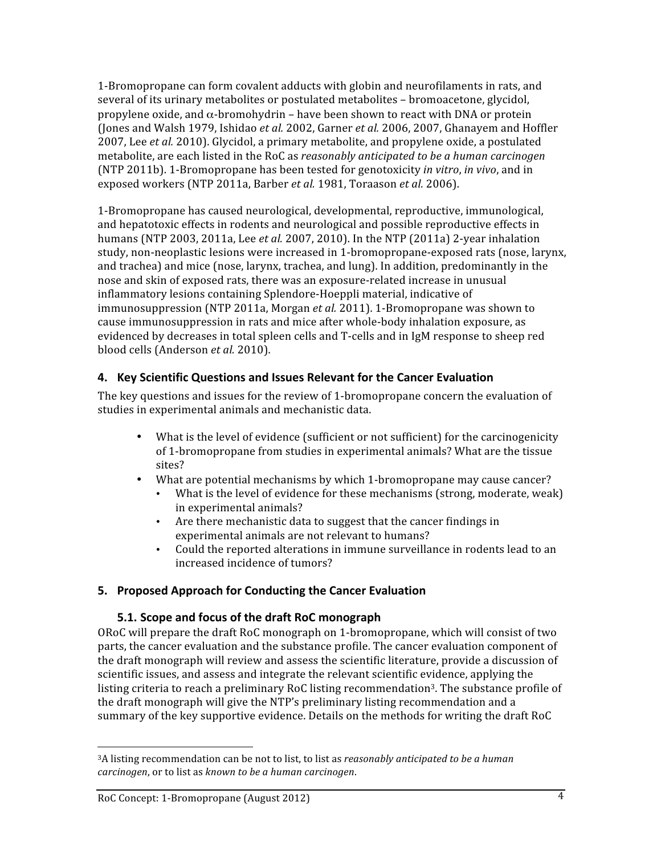1‐Bromopropane can form covalent adducts with globin and neurofilaments in rats, and several of its urinary metabolites or postulated metabolites – bromoacetone, glycidol, propylene oxide, and  $\alpha$ -bromohydrin – have been shown to react with DNA or protein (Jones and Walsh 1979, Ishidao *et al.* 2002, Garner *et al.* 2006, 2007, Ghanayem and Hoffler 2007, Lee *et al.* 2010). Glycidol, a primary metabolite, and propylene oxide, a postulated  metabolite, are each listed in the RoC as *reasonably anticipated to be a human carcinogen*  (NTP 2011b). 1‐Bromopropane has been tested for genotoxicity *in vitro*, *in vivo*, and in exposed workers (NTP 2011a, Barber *et al.* 1981, Toraason *et al.* 2006).

 1‐Bromopropane has caused neurological, developmental, reproductive, immunological, and hepatotoxic effects in rodents and neurological and possible reproductive effects in humans (NTP 2003, 2011a, Lee *et al.* 2007, 2010). In the NTP (2011a) 2‐year inhalation study, non‐neoplastic lesions were increased in 1‐bromopropane‐exposed rats (nose, larynx, and trachea) and mice (nose, larynx, trachea, and lung). In addition, predominantly in the nose and skin of exposed rats, there was an exposure‐related increase in unusual inflammatory lesions containing Splendore‐Hoeppli material, indicative of  immunosuppression (NTP 2011a, Morgan *et al.* 2011). 1‐Bromopropane was shown to cause immunosuppression in rats and mice after whole‐body inhalation exposure, as evidenced by decreases in total spleen cells and T‐cells and in IgM response to sheep red blood cells (Anderson *et al.* 2010).

## **4. Key Scientific Questions and Issues Relevant for the Cancer Evaluation**

 The key questions and issues for the review of 1‐bromopropane concern the evaluation of studies in experimental animals and mechanistic data.

- What is the level of evidence (sufficient or not sufficient) for the carcinogenicity of 1‐bromopropane from studies in experimental animals? What are the tissue sites?
- What are potential mechanisms by which 1-bromopropane may cause cancer?
	- What is the level of evidence for these mechanisms (strong, moderate, weak) in experimental animals?
	- Are there mechanistic data to suggest that the cancer findings in experimental animals are not relevant to humans?
	- • Could the reported alterations in immune surveillance in rodents lead to an increased incidence of tumors?

# **5. Proposed Approach for Conducting the Cancer Evaluation**

## **5.1. Scope and focus of the draft RoC monograph**

 ORoC will prepare the draft RoC monograph on 1‐bromopropane, which will consist of two parts, the cancer evaluation and the substance profile. The cancer evaluation component of the draft monograph will review and assess the scientific literature, provide a discussion of scientific issues, and assess and integrate the relevant scientific evidence, applying the listing criteria to reach a preliminary RoC listing recommendation<sup>3</sup>. The substance profile of the draft monograph will give the NTP's preliminary listing recommendation and a summary of the key supportive evidence. Details on the methods for writing the draft RoC

  3A listing recommendation can be not to list, to list as *reasonably anticipated to be a human carcinogen*, or to list as *known to be a human carcinogen*.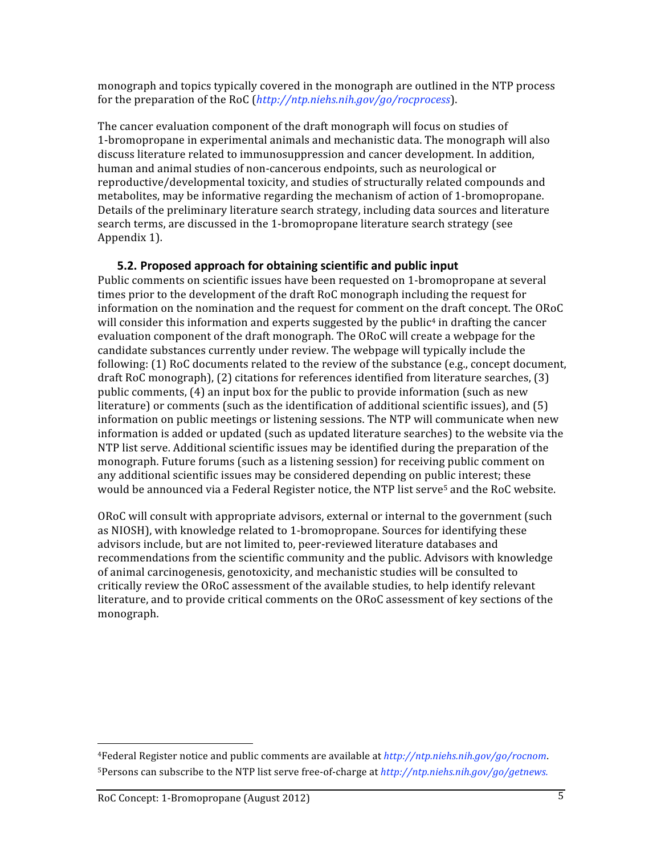monograph and topics typically covered in the monograph are outlined in the NTP process for the preparation of the RoC (*http://ntp.niehs.nih.gov/go/rocprocess*).

 The cancer evaluation component of the draft monograph will focus on studies of 1‐bromopropane in experimental animals and mechanistic data. The monograph will also discuss literature related to immunosuppression and cancer development. In addition, human and animal studies of non‐cancerous endpoints, such as neurological or reproductive/developmental toxicity, and studies of structurally related compounds and metabolites, may be informative regarding the mechanism of action of 1‐bromopropane. Details of the preliminary literature search strategy, including data sources and literature search terms, are discussed in the 1‐bromopropane literature search strategy (see Appendix 1).

## **5.2. Proposed approach for obtaining scientific and public input**

 Public comments on scientific issues have been requested on 1‐bromopropane at several times prior to the development of the draft RoC monograph including the request for information on the nomination and the request for comment on the draft concept. The ORoC will consider this information and experts suggested by the public<sup>4</sup> in drafting the cancer evaluation component of the draft monograph. The ORoC will create a webpage for the candidate substances currently under review. The webpage will typically include the following: (1) RoC documents related to the review of the substance (e.g., concept document, draft RoC monograph), (2) citations for references identified from literature searches, (3) public comments, (4) an input box for the public to provide information (such as new literature) or comments (such as the identification of additional scientific issues), and (5) information on public meetings or listening sessions. The NTP will communicate when new information is added or updated (such as updated literature searches) to the website via the NTP list serve. Additional scientific issues may be identified during the preparation of the monograph. Future forums (such as a listening session) for receiving public comment on any additional scientific issues may be considered depending on public interest; these would be announced via a Federal Register notice, the NTP list serve<sup>5</sup> and the RoC website.

 ORoC will consult with appropriate advisors, external or internal to the government (such as NIOSH), with knowledge related to 1‐bromopropane. Sources for identifying these advisors include, but are not limited to, peer‐reviewed literature databases and recommendations from the scientific community and the public. Advisors with knowledge of animal carcinogenesis, genotoxicity, and mechanistic studies will be consulted to critically review the ORoC assessment of the available studies, to help identify relevant literature, and to provide critical comments on the ORoC assessment of key sections of the monograph.

 4Federal Register notice and public comments are available at *http://ntp.niehs.nih.gov/go/rocnom*. 5Persons can subscribe to the NTP list serve free‐of‐charge at *http://ntp.niehs.nih.gov/go/getnews.*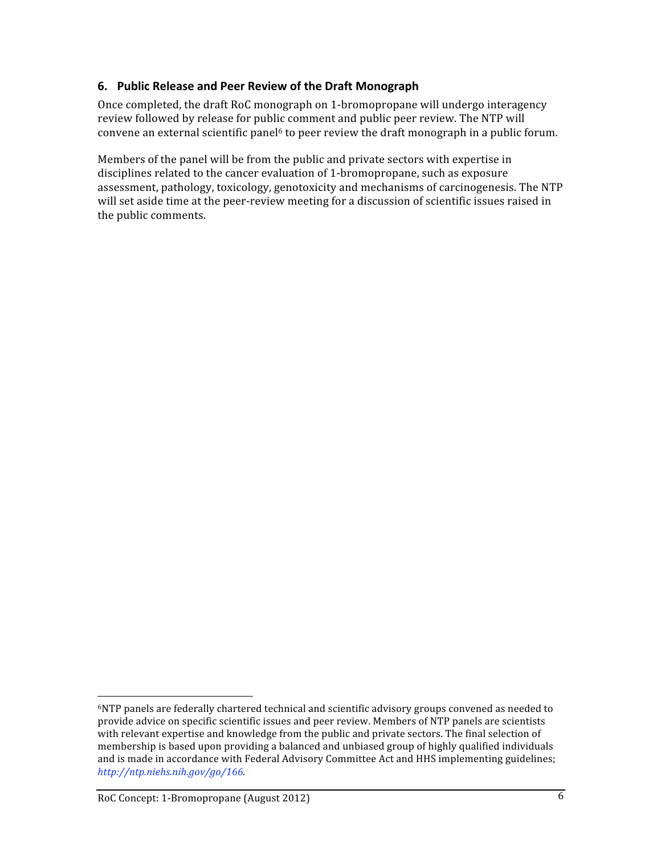#### **6. Public Release and Peer Review of the Draft Monograph**

 Once completed, the draft RoC monograph on 1‐bromopropane will undergo interagency review followed by release for public comment and public peer review. The NTP will convene an external scientific panel<sup>6</sup> to peer review the draft monograph in a public forum.

 Members of the panel will be from the public and private sectors with expertise in disciplines related to the cancer evaluation of 1‐bromopropane, such as exposure assessment, pathology, toxicology, genotoxicity and mechanisms of carcinogenesis. The NTP will set aside time at the peer‐review meeting for a discussion of scientific issues raised in the public comments.

 6NTP panels are federally chartered technical and scientific advisory groups convened as needed to provide advice on specific scientific issues and peer review. Members of NTP panels are scientists with relevant expertise and knowledge from the public and private sectors. The final selection of membership is based upon providing a balanced and unbiased group of highly qualified individuals and is made in accordance with Federal Advisory Committee Act and HHS implementing guidelines; *http://ntp.niehs.nih.gov/go/166.*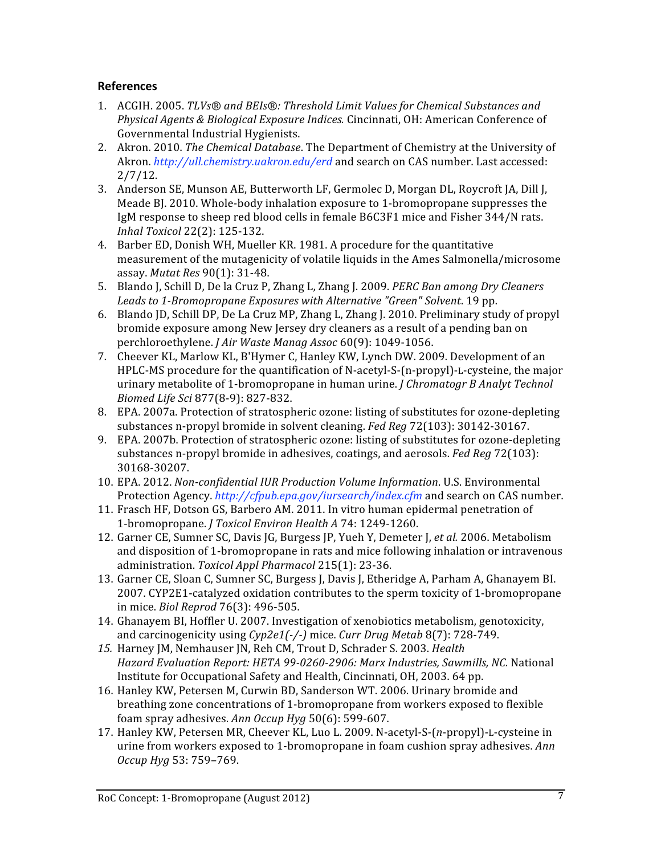## **References**

- 1. ACGIH. 2005. *TLVs® and BEIs®: Threshold Limit Values for Chemical Substances and Physical Agents & Biological Exposure Indices.* Cincinnati, OH: American Conference of Governmental Industrial Hygienists.
- 2. Akron. 2010. *The Chemical Database*. The Department of Chemistry at the University of Akron. *http://ull.chemistry.uakron.edu/erd* and search on CAS number. Last accessed: 2/7/12.
- 3. Anderson SE, Munson AE, Butterworth LF, Germolec D, Morgan DL, Roycroft JA, Dill J, Meade BJ. 2010. Whole‐body inhalation exposure to 1‐bromopropane suppresses the IgM response to sheep red blood cells in female B6C3F1 mice and Fisher 344/N rats.  *Inhal Toxicol* 22(2): 125‐132.
- 4. Barber ED, Donish WH, Mueller KR. 1981. A procedure for the quantitative measurement of the mutagenicity of volatile liquids in the Ames Salmonella/microsome assay. *Mutat Res* 90(1): 31‐48.
- 5. Blando J, Schill D, De la Cruz P, Zhang L, Zhang J. 2009. *PERC Ban among Dry Cleaners Leads to 1‐Bromopropane Exposures with Alternative "Green" Solvent*. 19 pp.
- 6. Blando JD, Schill DP, De La Cruz MP, Zhang L, Zhang J. 2010. Preliminary study of propyl bromide exposure among New Jersey dry cleaners as a result of a pending ban on  perchloroethylene. *J Air Waste Manag Assoc* 60(9): 1049‐1056.
- 7. Cheever KL, Marlow KL, B'Hymer C, Hanley KW, Lynch DW. 2009. Development of an HPLC‐MS procedure for the quantification of N‐acetyl‐S‐(n‐propyl)‐L‐cysteine, the major  urinary metabolite of 1‐bromopropane in human urine. *J Chromatogr B Analyt Technol Biomed Life Sci* 877(8‐9): 827‐832.
- 8. EPA. 2007a. Protection of stratospheric ozone: listing of substitutes for ozone-depleting substances n‐propyl bromide in solvent cleaning. *Fed Reg* 72(103): 30142‐30167.
- 9. EPA. 2007b. Protection of stratospheric ozone: listing of substitutes for ozone-depleting substances n‐propyl bromide in adhesives, coatings, and aerosols. *Fed Reg* 72(103): 30168‐30207.
- 10. EPA. 2012. *Non‐confidential IUR Production Volume Information*. U.S. Environmental Protection Agency. *http://cfpub.epa.gov/iursearch/index.cfm* and search on CAS number.
- 11. Frasch HF, Dotson GS, Barbero AM. 2011. In vitro human epidermal penetration of  1‐bromopropane. *J Toxicol Environ Health A* 74: 1249‐1260.
- 12. Garner CE, Sumner SC, Davis JG, Burgess JP, Yueh Y, Demeter J, *et al.* 2006. Metabolism and disposition of 1‐bromopropane in rats and mice following inhalation or intravenous  administration. *Toxicol Appl Pharmacol* 215(1): 23‐36.
- 13. Garner CE, Sloan C, Sumner SC, Burgess J, Davis J, Etheridge A, Parham A, Ghanayem BI. 2007. CYP2E1‐catalyzed oxidation contributes to the sperm toxicity of 1‐bromopropane in mice. *Biol Reprod* 76(3): 496‐505.
- 14. Ghanayem BI, Hoffler U. 2007. Investigation of xenobiotics metabolism, genotoxicity,  and carcinogenicity using *Cyp2e1(‐/‐)* mice. *Curr Drug Metab* 8(7): 728‐749.
- *15.* Harney JM, Nemhauser JN, Reh CM, Trout D, Schrader S. 2003. *Health Hazard Evaluation Report: HETA 99‐0260‐2906: Marx Industries, Sawmills, NC.* National Institute for Occupational Safety and Health, Cincinnati, OH, 2003. 64 pp.
- 16. Hanley KW, Petersen M, Curwin BD, Sanderson WT. 2006. Urinary bromide and breathing zone concentrations of 1‐bromopropane from workers exposed to flexible  foam spray adhesives. *Ann Occup Hyg* 50(6): 599‐607.
- 17. Hanley KW, Petersen MR, Cheever KL, Luo L. 2009. N‐acetyl‐S‐(*n*‐propyl)‐L‐cysteine in urine from workers exposed to 1‐bromopropane in foam cushion spray adhesives. *Ann Occup Hyg* 53: 759–769.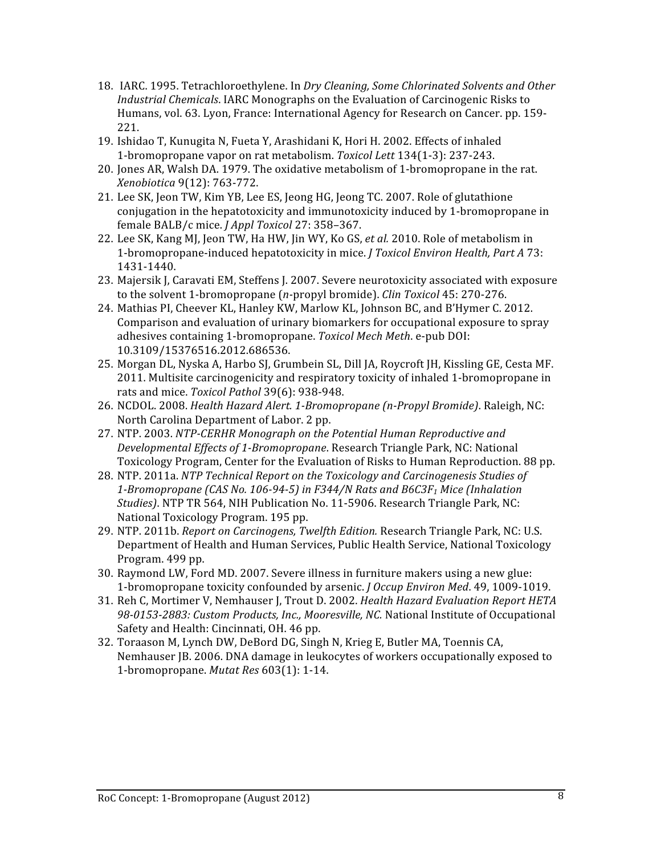- 18. IARC. 1995. Tetrachloroethylene. In *Dry Cleaning, Some Chlorinated Solvents and Other Industrial Chemicals*. IARC Monographs on the Evaluation of Carcinogenic Risks to Humans, vol. 63. Lyon, France: International Agency for Research on Cancer. pp. 159‐ 221.
- 19. Ishidao T, Kunugita N, Fueta Y, Arashidani K, Hori H. 2002. Effects of inhaled 1‐bromopropane vapor on rat metabolism. *Toxicol Lett* 134(1‐3): 237‐243.
- 20. Jones AR, Walsh DA. 1979. The oxidative metabolism of 1‐bromopropane in the rat. *Xenobiotica* 9(12): 763‐772.
- 21. Lee SK, Jeon TW, Kim YB, Lee ES, Jeong HG, Jeong TC. 2007. Role of glutathione conjugation in the hepatotoxicity and immunotoxicity induced by 1‐bromopropane in  female BALB/c mice. *J Appl Toxicol* 27: 358–367.
- 22. Lee SK, Kang MJ, Jeon TW, Ha HW, Jin WY, Ko GS, *et al.* 2010. Role of metabolism in  1‐bromopropane‐induced hepatotoxicity in mice. *J Toxicol Environ Health, Part A* 73: 1431‐1440.
- 23. Majersik J, Caravati EM, Steffens J. 2007. Severe neurotoxicity associated with exposure to the solvent 1‐bromopropane (*n‐*propyl bromide). *Clin Toxicol* 45: 270‐276.
- 24. Mathias PI, Cheever KL, Hanley KW, Marlow KL, Johnson BC, and B'Hymer C. 2012. Comparison and evaluation of urinary biomarkers for occupational exposure to spray  adhesives containing 1‐bromopropane. *Toxicol Mech Meth*. e‐pub DOI: 10.3109/15376516.2012.686536.
- 25. Morgan DL, Nyska A, Harbo SJ, Grumbein SL, Dill JA, Roycroft JH, Kissling GE, Cesta MF. 2011. Multisite carcinogenicity and respiratory toxicity of inhaled 1‐bromopropane in rats and mice. *Toxicol Pathol* 39(6): 938‐948.
- 26. NCDOL. 2008. *Health Hazard Alert. 1‐Bromopropane (n‐Propyl Bromide)*. Raleigh, NC: North Carolina Department of Labor. 2 pp.
- 27. NTP. 2003. *NTP‐CERHR Monograph on the Potential Human Reproductive and Developmental Effects of 1‐Bromopropane*. Research Triangle Park, NC: National Toxicology Program, Center for the Evaluation of Risks to Human Reproduction. 88 pp.
- 28. NTP. 2011a. *NTP Technical Report on the Toxicology and Carcinogenesis Studies of 1‐Bromopropane (CAS No. 106‐94‐5) in F344/N Rats and B6C3F1 Mice (Inhalation Studies)*. NTP TR 564, NIH Publication No. 11‐5906. Research Triangle Park, NC: National Toxicology Program. 195 pp.
- 29. NTP. 2011b. *Report on Carcinogens, Twelfth Edition.* Research Triangle Park, NC: U.S. Department of Health and Human Services, Public Health Service, National Toxicology Program. 499 pp.
- 30. Raymond LW, Ford MD. 2007. Severe illness in furniture makers using a new glue:  1‐bromopropane toxicity confounded by arsenic. *J Occup Environ Med*. 49, 1009‐1019.
- 31. Reh C, Mortimer V, Nemhauser J, Trout D. 2002. *Health Hazard Evaluation Report HETA 98‐0153‐2883: Custom Products, Inc., Mooresville, NC.* National Institute of Occupational Safety and Health: Cincinnati, OH. 46 pp.
- 32. Toraason M, Lynch DW, DeBord DG, Singh N, Krieg E, Butler MA, Toennis CA, Nemhauser JB. 2006. DNA damage in leukocytes of workers occupationally exposed to 1‐bromopropane. *Mutat Res* 603(1): 1‐14.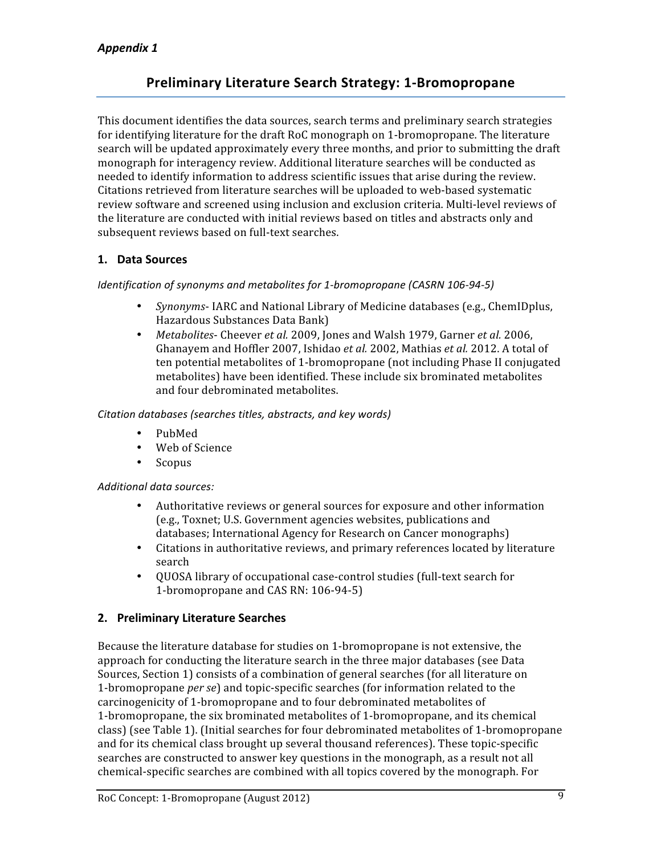# **Preliminary Literature Search Strategy: 1‐Bromopropane**

 This document identifies the data sources, search terms and preliminary search strategies for identifying literature for the draft RoC monograph on 1‐bromopropane. The literature search will be updated approximately every three months, and prior to submitting the draft monograph for interagency review. Additional literature searches will be conducted as needed to identify information to address scientific issues that arise during the review. Citations retrieved from literature searches will be uploaded to web‐based systematic review software and screened using inclusion and exclusion criteria. Multi‐level reviews of the literature are conducted with initial reviews based on titles and abstracts only and subsequent reviews based on full‐text searches.

#### **1. Data Sources**

 *Identification of synonyms and metabolites for 1‐bromopropane (CASRN 106‐94‐5)*

- • *Synonyms*‐ IARC and National Library of Medicine databases (e.g., ChemIDplus, Hazardous Substances Data Bank)
- • *Metabolites*‐ Cheever *et al.* 2009, Jones and Walsh 1979, Garner *et al.* 2006,  Ghanayem and Hoffler 2007, Ishidao *et al.* 2002, Mathias *et al.* 2012. A total of ten potential metabolites of 1‐bromopropane (not including Phase II conjugated metabolites) have been identified. These include six brominated metabolites and four debrominated metabolites.

 *Citation databases (searches titles, abstracts, and key words)*

- PubMed
- Web of Science
- Scopus

#### *Additional data sources:*

- • Authoritative reviews or general sources for exposure and other information (e.g., Toxnet; U.S. Government agencies websites, publications and databases; International Agency for Research on Cancer monographs)
- • Citations in authoritative reviews, and primary references located by literature search
- QUOSA library of occupational case-control studies (full-text search for 1‐bromopropane and CAS RN: 106‐94‐5)

#### **2. Preliminary Literature Searches**

 Because the literature database for studies on 1‐bromopropane is not extensive, the approach for conducting the literature search in the three major databases (see Data Sources, Section 1) consists of a combination of general searches (for all literature on 1‐bromopropane *per se*) and topic‐specific searches (for information related to the carcinogenicity of 1‐bromopropane and to four debrominated metabolites of 1‐bromopropane, the six brominated metabolites of 1‐bromopropane, and its chemical class) (see Table 1). (Initial searches for four debrominated metabolites of 1‐bromopropane and for its chemical class brought up several thousand references). These topic‐specific searches are constructed to answer key questions in the monograph, as a result not all chemical‐specific searches are combined with all topics covered by the monograph. For